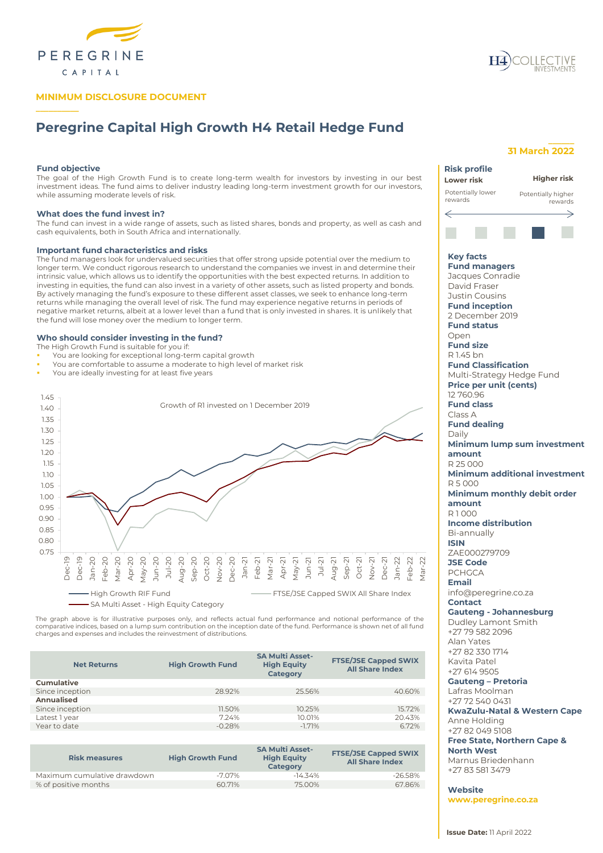

## **MINIMUM DISCLOSURE DOCUMENT**

# **Peregrine Capital High Growth H4 Retail Hedge Fund**

## **Fund objective**

**\_\_\_\_\_\_\_\_\_\_**

The goal of the High Growth Fund is to create long-term wealth for investors by investing in our best investment ideas. The fund aims to deliver industry leading long-term investment growth for our investors, while assuming moderate levels of risk.

### **What does the fund invest in?**

The fund can invest in a wide range of assets, such as listed shares, bonds and property, as well as cash and cash equivalents, both in South Africa and internationally.

## **Important fund characteristics and risks**

The fund managers look for undervalued securities that offer strong upside potential over the medium to longer term. We conduct rigorous research to understand the companies we invest in and determine their intrinsic value, which allows us to identify the opportunities with the best expected returns. In addition to investing in equities, the fund can also invest in a variety of other assets, such as listed property and bonds. By actively managing the fund's exposure to these different asset classes, we seek to enhance long-term returns while managing the overall level of risk. The fund may experience negative returns in periods of negative market returns, albeit at a lower level than a fund that is only invested in shares. It is unlikely that the fund will lose money over the medium to longer term.

## **Who should consider investing in the fund?**

- The High Growth Fund is suitable for you if:
- You are looking for exceptional long-term capital growth
- You are comfortable to assume a moderate to high level of market risk
- You are ideally investing for at least five years



The graph above is for illustrative purposes only, and reflects actual fund performance and notional performance of the<br>comparative indices, based on a lump sum contribution on the inception date of the fund. Performance i charges and expenses and includes the reinvestment of distributions.

| <b>Net Returns</b> | <b>High Growth Fund</b> | <b>SA Multi Asset-</b><br><b>High Equity</b><br>Category | <b>FTSE/JSE Capped SWIX</b><br><b>All Share Index</b> |
|--------------------|-------------------------|----------------------------------------------------------|-------------------------------------------------------|
| <b>Cumulative</b>  |                         |                                                          |                                                       |
| Since inception    | 28.92%                  | 25.56%                                                   | 40.60%                                                |
| Annualised         |                         |                                                          |                                                       |
| Since inception    | 11.50%                  | 10.25%                                                   | 15.72%                                                |
| Latest 1 year      | 7.24%                   | 10.01%                                                   | 20.43%                                                |
| Year to date       | $-0.28%$                | $-1.71%$                                                 | 6.72%                                                 |
|                    |                         |                                                          |                                                       |

| <b>Risk measures</b>        | <b>High Growth Fund</b> | <b>SA Multi Asset-</b><br><b>High Equity</b><br><b>Category</b> | <b>FTSE/JSE Capped SWIX</b><br><b>All Share Index</b> |
|-----------------------------|-------------------------|-----------------------------------------------------------------|-------------------------------------------------------|
| Maximum cumulative drawdown | -7.07%                  | $-14.34\%$                                                      | $-26.58\%$                                            |
| % of positive months        | 60.71%                  | 7500%                                                           | 67.86%                                                |

## **\_\_\_\_\_\_ 31 March 2022**

| <b>Risk profile</b>                         |                                         |
|---------------------------------------------|-----------------------------------------|
| Lower risk                                  | Higher risk                             |
| Potentially lower<br>rewards                | Potentially higher<br>rewards           |
|                                             |                                         |
|                                             | →                                       |
|                                             |                                         |
| <b>Key facts</b>                            |                                         |
| <b>Fund managers</b>                        |                                         |
| Jacques Conradie                            |                                         |
| David Fraser                                |                                         |
| <b>Justin Cousins</b>                       |                                         |
| <b>Fund inception</b>                       |                                         |
| 2 December 2019                             |                                         |
| <b>Fund status</b>                          |                                         |
| Open                                        |                                         |
| <b>Fund size</b>                            |                                         |
| R 1.45 bn                                   |                                         |
| <b>Fund Classification</b>                  |                                         |
| Multi-Strategy Hedge Fund                   |                                         |
| <b>Price per unit (cents)</b>               |                                         |
| 12760.96                                    |                                         |
| <b>Fund class</b>                           |                                         |
| Class A                                     |                                         |
| <b>Fund dealing</b>                         |                                         |
| Daily                                       |                                         |
|                                             | Minimum lump sum investment             |
| amount                                      |                                         |
| R 25 000                                    |                                         |
|                                             | <b>Minimum additional investment</b>    |
| R 5000                                      |                                         |
|                                             | Minimum monthly debit order             |
| amount                                      |                                         |
| R1000                                       |                                         |
| <b>Income distribution</b>                  |                                         |
| Bi-annually                                 |                                         |
| ISIN                                        |                                         |
| ZAE000279709                                |                                         |
| <b>JSE Code</b>                             |                                         |
| <b>PCHGCA</b>                               |                                         |
| <b>Email</b>                                |                                         |
| info@peregrine.co.za                        |                                         |
| <b>Contact</b>                              |                                         |
| <b>Gauteng - Johannesburg</b>               |                                         |
| Dudley Lamont Smith                         |                                         |
| +27 79 582 2096                             |                                         |
| Alan Yates                                  |                                         |
| +27 82 330 1714                             |                                         |
| Kavita Patel                                |                                         |
| +27 614 9505                                |                                         |
| <b>Gauteng - Pretoria</b><br>Lafras Moolman |                                         |
| +27 72 540 0431                             |                                         |
|                                             |                                         |
| Anne Holding                                | <b>KwaZulu-Natal &amp; Western Cape</b> |
| +27 82 049 5108                             |                                         |
| <b>Free State, Northern Cape &amp;</b>      |                                         |

**North West**

Marnus Briedenhann +27 83 581 3479

**Website www.peregrine.co.za**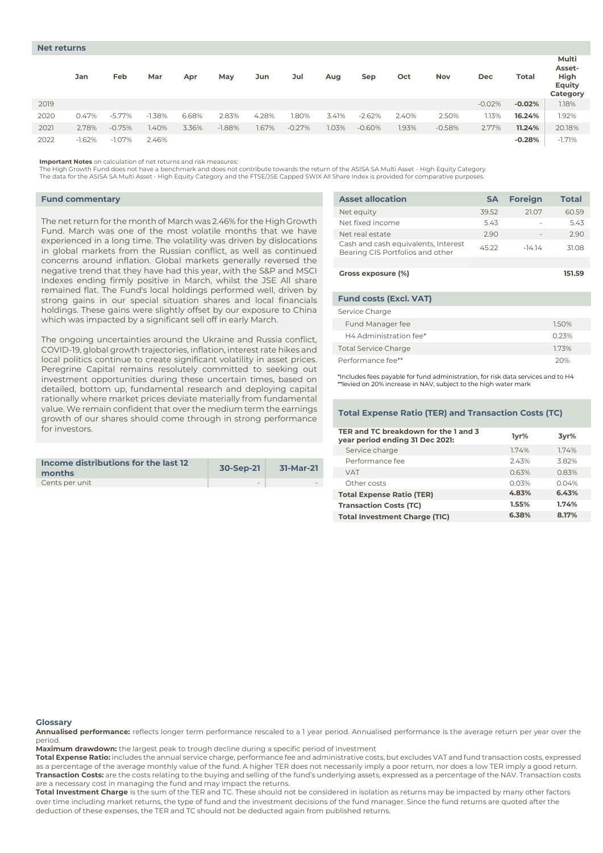|      | Jan      | Feb       | Mar      | Apr   | May      | Jun   | Jul      | Aug   | Sep      | Oct   | <b>Nov</b> | Dec      | Total    | Multi<br>Asset-<br>High<br><b>Equity</b><br>Category |
|------|----------|-----------|----------|-------|----------|-------|----------|-------|----------|-------|------------|----------|----------|------------------------------------------------------|
| 2019 |          |           |          |       |          |       |          |       |          |       |            | $-0.02%$ | $-0.02%$ | 1.18%                                                |
| 2020 | 0.47%    | $-5.77\%$ | $-1.38%$ | 6.68% | 2.83%    | 4.28% | 1.80%    | 3.41% | $-2.62%$ | 2.40% | 2.50%      | 1.13%    | 16.24%   | 1.92%                                                |
| 2021 | 2.78%    | $-0.75%$  | 1.40%    | 3.36% | $-1.88%$ | 1.67% | $-0.27%$ | 1.03% | $-0.60%$ | .93%  | $-0.58%$   | 2.77%    | 11.24%   | 20.18%                                               |
| 2022 | $-1.62%$ | $-1.07\%$ | 2.46%    |       |          |       |          |       |          |       |            |          | $-0.28%$ | $-1.71%$                                             |

**Important Notes** on calculation of net returns and risk measures:

The High Growth Fund does not have a benchmark and does not contribute towards the return of the ASISA SA Multi Asset - High Equity Category.

The data for the ASISA SA Multi Asset - High Equity Category and the FTSE/JSE Capped SWIX All Share Index is provided for comparative purposes.

## **Fund commentary**

The net return for the month of March was 2.46% for the High Growth Fund. March was one of the most volatile months that we have experienced in a long time. The volatility was driven by dislocations in global markets from the Russian conflict, as well as continued concerns around inflation. Global markets generally reversed the negative trend that they have had this year, with the S&P and MSCI Indexes ending firmly positive in March, whilst the JSE All share remained flat. The Fund's local holdings performed well, driven by strong gains in our special situation shares and local financials holdings. These gains were slightly offset by our exposure to China which was impacted by a significant sell off in early March.

The ongoing uncertainties around the Ukraine and Russia conflict, COVID-19, global growth trajectories, inflation, interest rate hikes and local politics continue to create significant volatility in asset prices. Peregrine Capital remains resolutely committed to seeking out investment opportunities during these uncertain times, based on detailed, bottom up, fundamental research and deploying capital rationally where market prices deviate materially from fundamental value. We remain confident that over the medium term the earnings growth of our shares should come through in strong performance for investors.

| Income distributions for the last 12<br>months | 30-Sep-21                | 31-Mar-21 |
|------------------------------------------------|--------------------------|-----------|
| Cents per unit                                 | $\overline{\phantom{a}}$ | $\sim$    |

| <b>Asset allocation</b>                                                 | <b>SA</b> | <b>Foreign</b> | <b>Total</b> |
|-------------------------------------------------------------------------|-----------|----------------|--------------|
| Net equity                                                              | 39.52     | 21.07          | 60.59        |
| Net fixed income                                                        | 5.43      |                | 5.43         |
| Net real estate                                                         | 2.90      |                | 2.90         |
| Cash and cash equivalents, Interest<br>Bearing CIS Portfolios and other | 45.22     | $-14.14$       | 31.08        |
|                                                                         |           |                |              |
| Gross exposure (%)                                                      |           |                | 151.59       |
|                                                                         |           |                |              |
| <b>Fund costs (Excl. VAT)</b>                                           |           |                |              |
| Service Charge                                                          |           |                |              |
| Fund Manager fee                                                        |           |                | 1.50%        |
| H4 Administration fee*                                                  |           |                | 0.23%        |

Performance fee\*\* 20% \*Includes fees payable for fund administration, for risk data services and to H4 \*\*levied on 20% increase in NAV, subject to the high water mark

Total Service Charge 1.73%

## **Total Expense Ratio (TER) and Transaction Costs (TC)**

| TER and TC breakdown for the 1 and 3<br>1vr%<br>3yr%<br>year period ending 31 Dec 2021:<br>Service charge<br>1.74%<br>1.74%<br>Performance fee<br>3.82%<br>243%<br>0.63%<br>0.83%<br><b>VAT</b><br>Other costs<br>0.03%<br>0.04%<br>4.83%<br>6.43%<br><b>Total Expense Ratio (TER)</b><br>1.55%<br>1.74%<br><b>Transaction Costs (TC)</b><br>8.17%<br>6.38%<br><b>Total Investment Charge (TIC)</b> |  |  |
|-----------------------------------------------------------------------------------------------------------------------------------------------------------------------------------------------------------------------------------------------------------------------------------------------------------------------------------------------------------------------------------------------------|--|--|
|                                                                                                                                                                                                                                                                                                                                                                                                     |  |  |
|                                                                                                                                                                                                                                                                                                                                                                                                     |  |  |
|                                                                                                                                                                                                                                                                                                                                                                                                     |  |  |
|                                                                                                                                                                                                                                                                                                                                                                                                     |  |  |
|                                                                                                                                                                                                                                                                                                                                                                                                     |  |  |
|                                                                                                                                                                                                                                                                                                                                                                                                     |  |  |
|                                                                                                                                                                                                                                                                                                                                                                                                     |  |  |
|                                                                                                                                                                                                                                                                                                                                                                                                     |  |  |

#### **Glossary**

**Annualised performance:** reflects longer term performance rescaled to a 1 year period. Annualised performance is the average return per year over the period.

**Maximum drawdown:** the largest peak to trough decline during a specific period of investment

**Total Expense Ratio:** includes the annual service charge, performance fee and administrative costs, but excludes VAT and fund transaction costs, expressed as a percentage of the average monthly value of the fund. A higher TER does not necessarily imply a poor return, nor does a low TER imply a good return. **Transaction Costs:** are the costs relating to the buying and selling of the fund's underlying assets, expressed as a percentage of the NAV. Transaction costs are a necessary cost in managing the fund and may impact the returns.

**Total Investment Charge** is the sum of the TER and TC. These should not be considered in isolation as returns may be impacted by many other factors over time including market returns, the type of fund and the investment decisions of the fund manager. Since the fund returns are quoted after the deduction of these expenses, the TER and TC should not be deducted again from published returns.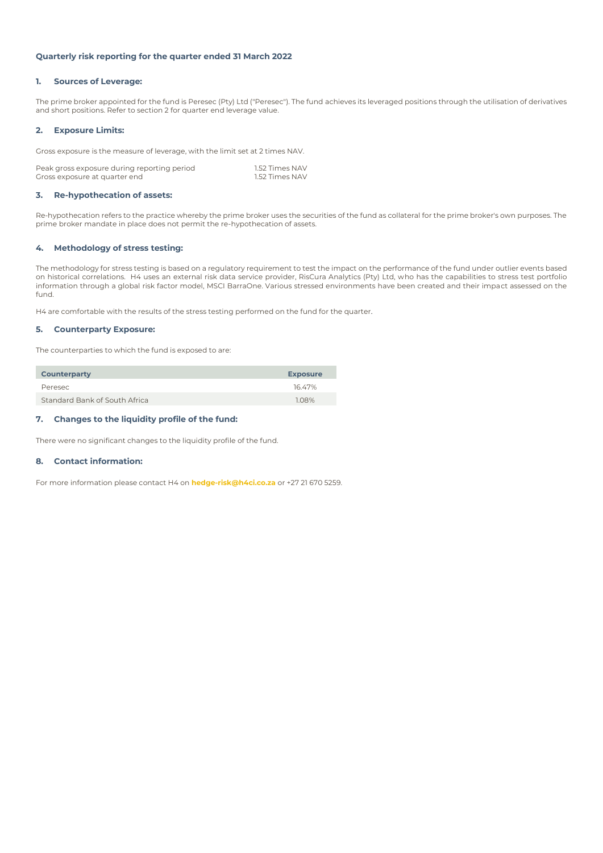## **Quarterly risk reporting for the quarter ended 31 March 2022**

## **1. Sources of Leverage:**

The prime broker appointed for the fund is Peresec (Pty) Ltd ("Peresec"). The fund achieves its leveraged positions through the utilisation of derivatives and short positions. Refer to section 2 for quarter end leverage value.

## **2. Exposure Limits:**

Gross exposure is the measure of leverage, with the limit set at 2 times NAV.

| Peak gross exposure during reporting period | 1.52 Times NAV |
|---------------------------------------------|----------------|
| Gross exposure at quarter end               | 1.52 Times NAV |

## **3. Re-hypothecation of assets:**

Re-hypothecation refers to the practice whereby the prime broker uses the securities of the fund as collateral for the prime broker's own purposes. The prime broker mandate in place does not permit the re-hypothecation of assets.

## **4. Methodology of stress testing:**

The methodology for stress testing is based on a regulatory requirement to test the impact on the performance of the fund under outlier events based on historical correlations. H4 uses an external risk data service provider, RisCura Analytics (Pty) Ltd, who has the capabilities to stress test portfolio information through a global risk factor model, MSCI BarraOne. Various stressed environments have been created and their impact assessed on the fund.

H4 are comfortable with the results of the stress testing performed on the fund for the quarter.

## **5. Counterparty Exposure:**

The counterparties to which the fund is exposed to are:

| <b>Counterparty</b>           | <b>Exposure</b> |
|-------------------------------|-----------------|
| Peresec                       | 1647%           |
| Standard Bank of South Africa | 108%            |

## **7. Changes to the liquidity profile of the fund:**

There were no significant changes to the liquidity profile of the fund.

## **8. Contact information:**

For more information please contact H4 on **hedge-risk@h4ci.co.za** or +27 21 670 5259.